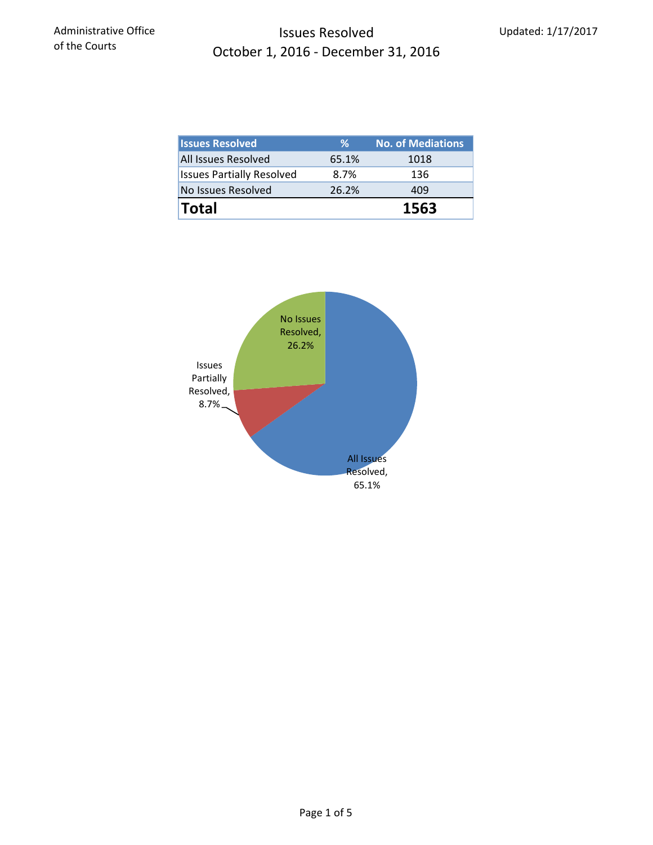## Issues Resolved October 1, 2016 ‐ December 31, 2016

| <b>Issues Resolved</b>           | ℅             | <b>No. of Mediations</b> |  |
|----------------------------------|---------------|--------------------------|--|
| All Issues Resolved              | 65.1%<br>1018 |                          |  |
| <b>Issues Partially Resolved</b> | 8.7%          | 136                      |  |
| No Issues Resolved               | 26.2%         | 409                      |  |
| <b>Total</b>                     |               | 1563                     |  |

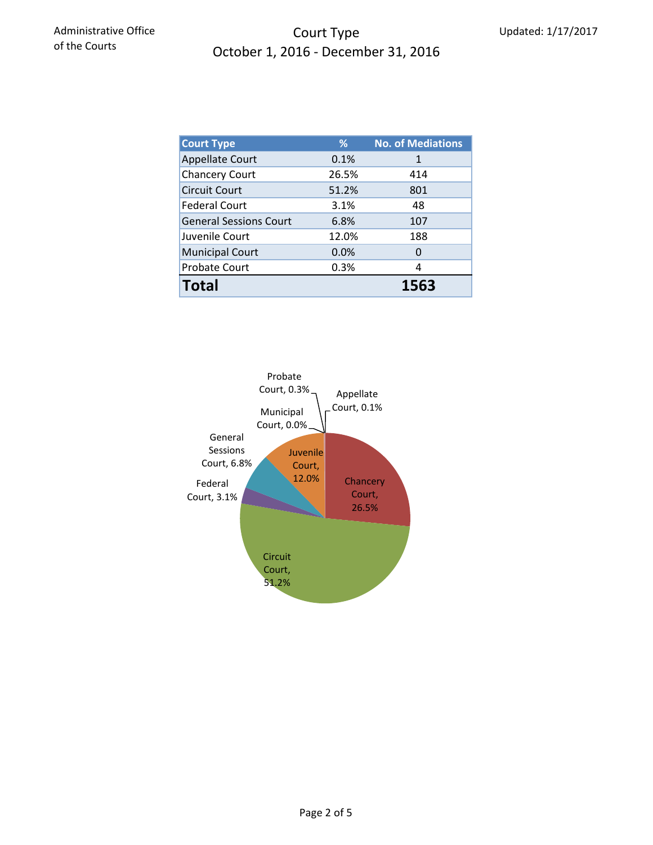## Court Type October 1, 2016 ‐ December 31, 2016

| <b>Court Type</b>             | ℅     | <b>No. of Mediations</b> |  |  |
|-------------------------------|-------|--------------------------|--|--|
| <b>Appellate Court</b>        | 0.1%  | 1                        |  |  |
| <b>Chancery Court</b>         | 26.5% | 414                      |  |  |
| <b>Circuit Court</b>          | 51.2% | 801                      |  |  |
| <b>Federal Court</b>          | 3.1%  | 48                       |  |  |
| <b>General Sessions Court</b> | 6.8%  | 107                      |  |  |
| Juvenile Court                | 12.0% | 188                      |  |  |
| <b>Municipal Court</b>        | 0.0%  | 0                        |  |  |
| Probate Court                 | 0.3%  | 4                        |  |  |
| <b>Total</b>                  |       | 1563                     |  |  |

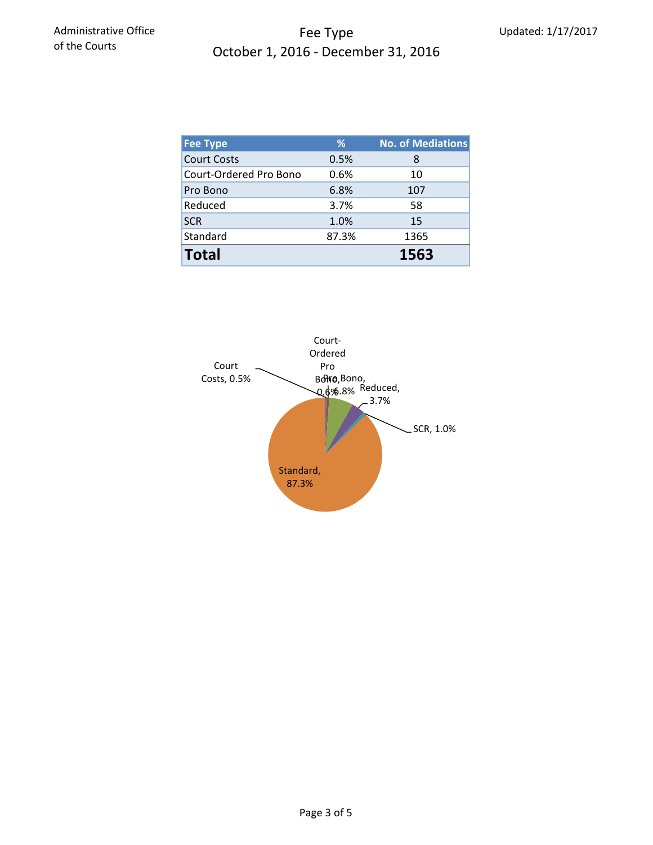## Fee Type October 1, 2016 ‐ December 31, 2016

| <b>Fee Type</b>        | %     | No. of Mediations |
|------------------------|-------|-------------------|
| <b>Court Costs</b>     | 0.5%  | 8                 |
| Court-Ordered Pro Bono | 0.6%  | 10                |
| Pro Bono               | 6.8%  | 107               |
| Reduced                | 3.7%  | 58                |
| <b>SCR</b>             | 1.0%  | 15                |
| Standard               | 87.3% | 1365              |
| <b>Total</b>           |       | 1563              |

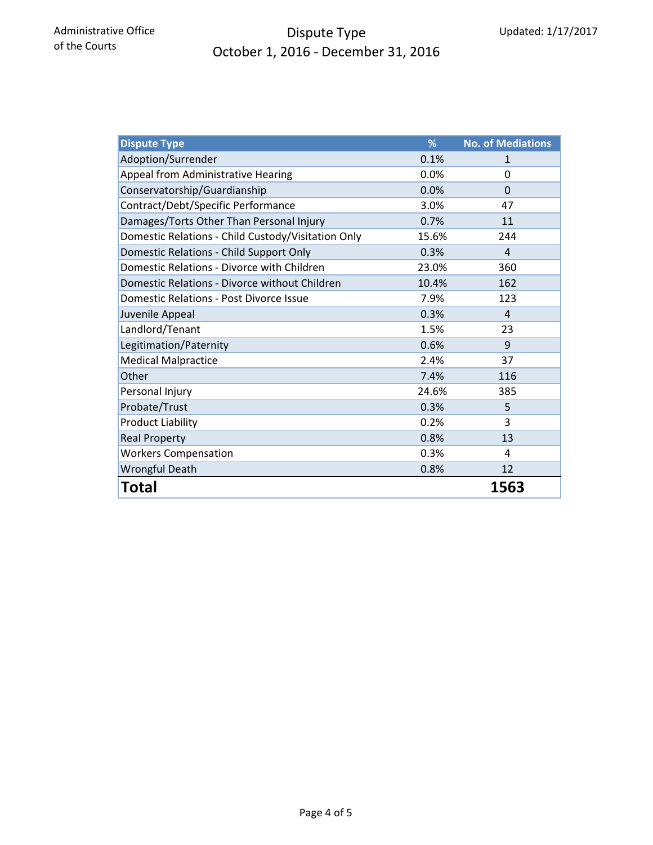# Dispute Type October 1, 2016 ‐ December 31, 2016

| <b>Dispute Type</b>                                | %     | <b>No. of Mediations</b> |
|----------------------------------------------------|-------|--------------------------|
| Adoption/Surrender                                 | 0.1%  | 1                        |
| Appeal from Administrative Hearing                 | 0.0%  | 0                        |
| Conservatorship/Guardianship                       | 0.0%  | $\Omega$                 |
| Contract/Debt/Specific Performance                 | 3.0%  | 47                       |
| Damages/Torts Other Than Personal Injury           | 0.7%  | 11                       |
| Domestic Relations - Child Custody/Visitation Only | 15.6% | 244                      |
| Domestic Relations - Child Support Only            | 0.3%  | 4                        |
| Domestic Relations - Divorce with Children         | 23.0% | 360                      |
| Domestic Relations - Divorce without Children      | 10.4% | 162                      |
| Domestic Relations - Post Divorce Issue            | 7.9%  | 123                      |
| Juvenile Appeal                                    | 0.3%  | $\overline{4}$           |
| Landlord/Tenant                                    | 1.5%  | 23                       |
| Legitimation/Paternity                             | 0.6%  | 9                        |
| <b>Medical Malpractice</b>                         | 2.4%  | 37                       |
| Other                                              | 7.4%  | 116                      |
| Personal Injury                                    | 24.6% | 385                      |
| Probate/Trust                                      | 0.3%  | 5                        |
| <b>Product Liability</b>                           | 0.2%  | 3                        |
| <b>Real Property</b>                               | 0.8%  | 13                       |
| <b>Workers Compensation</b>                        | 0.3%  | 4                        |
| <b>Wrongful Death</b>                              | 0.8%  | 12                       |
| Total                                              |       | 1563                     |